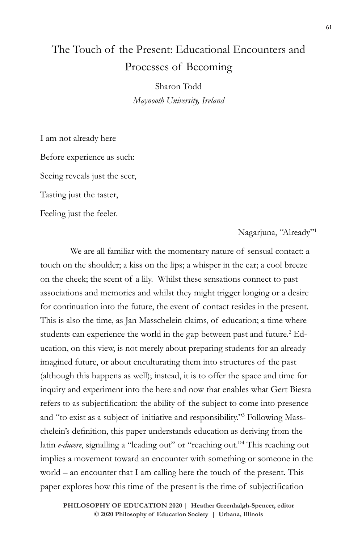# The Touch of the Present: Educational Encounters and Processes of Becoming

Sharon Todd *Maynooth University, Ireland*

I am not already here Before experience as such: Seeing reveals just the seer, Tasting just the taster,

Feeling just the feeler.

Nagarjuna, "Already"1

We are all familiar with the momentary nature of sensual contact: a touch on the shoulder; a kiss on the lips; a whisper in the ear; a cool breeze on the cheek; the scent of a lily. Whilst these sensations connect to past associations and memories and whilst they might trigger longing or a desire for continuation into the future, the event of contact resides in the present. This is also the time, as Jan Masschelein claims, of education; a time where students can experience the world in the gap between past and future.<sup>2</sup> Education, on this view, is not merely about preparing students for an already imagined future, or about enculturating them into structures of the past (although this happens as well); instead, it is to offer the space and time for inquiry and experiment into the here and now that enables what Gert Biesta refers to as subjectification: the ability of the subject to come into presence and "to exist as a subject of initiative and responsibility."3 Following Masschelein's definition, this paper understands education as deriving from the latin *e-ducere*, signalling a "leading out" or "reaching out."<sup>4</sup> This reaching out implies a movement toward an encounter with something or someone in the world – an encounter that I am calling here the touch of the present. This paper explores how this time of the present is the time of subjectification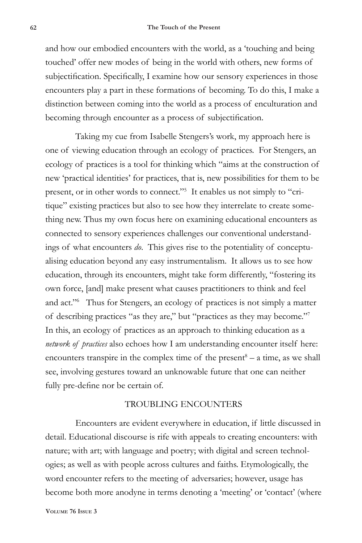and how our embodied encounters with the world, as a 'touching and being touched' offer new modes of being in the world with others, new forms of subjectification. Specifically, I examine how our sensory experiences in those encounters play a part in these formations of becoming. To do this, I make a distinction between coming into the world as a process of enculturation and becoming through encounter as a process of subjectification.

Taking my cue from Isabelle Stengers's work, my approach here is one of viewing education through an ecology of practices. For Stengers, an ecology of practices is a tool for thinking which "aims at the construction of new 'practical identities' for practices, that is, new possibilities for them to be present, or in other words to connect."<sup>5</sup> It enables us not simply to "critique" existing practices but also to see how they interrelate to create something new. Thus my own focus here on examining educational encounters as connected to sensory experiences challenges our conventional understandings of what encounters *do*. This gives rise to the potentiality of conceptualising education beyond any easy instrumentalism. It allows us to see how education, through its encounters, might take form differently, "fostering its own force, [and] make present what causes practitioners to think and feel and act."6 Thus for Stengers, an ecology of practices is not simply a matter of describing practices "as they are," but "practices as they may become."7 In this, an ecology of practices as an approach to thinking education as a *network of practices* also echoes how I am understanding encounter itself here: encounters transpire in the complex time of the present $8 - a$  time, as we shall see, involving gestures toward an unknowable future that one can neither fully pre-define nor be certain of.

## TROUBLING ENCOUNTERS

Encounters are evident everywhere in education, if little discussed in detail. Educational discourse is rife with appeals to creating encounters: with nature; with art; with language and poetry; with digital and screen technologies; as well as with people across cultures and faiths. Etymologically, the word encounter refers to the meeting of adversaries; however, usage has become both more anodyne in terms denoting a 'meeting' or 'contact' (where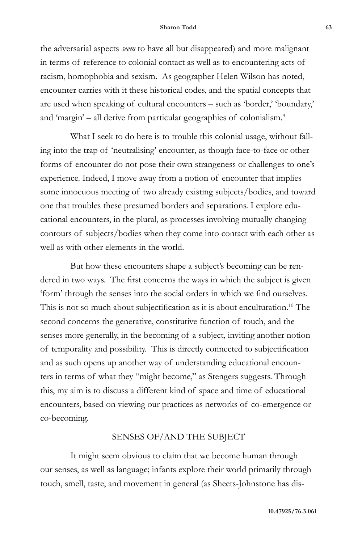the adversarial aspects *seem* to have all but disappeared) and more malignant in terms of reference to colonial contact as well as to encountering acts of racism, homophobia and sexism. As geographer Helen Wilson has noted, encounter carries with it these historical codes, and the spatial concepts that are used when speaking of cultural encounters – such as 'border,' 'boundary,' and 'margin' – all derive from particular geographies of colonialism.<sup>9</sup>

What I seek to do here is to trouble this colonial usage, without falling into the trap of 'neutralising' encounter, as though face-to-face or other forms of encounter do not pose their own strangeness or challenges to one's experience. Indeed, I move away from a notion of encounter that implies some innocuous meeting of two already existing subjects/bodies, and toward one that troubles these presumed borders and separations. I explore educational encounters, in the plural, as processes involving mutually changing contours of subjects/bodies when they come into contact with each other as well as with other elements in the world.

But how these encounters shape a subject's becoming can be rendered in two ways. The first concerns the ways in which the subject is given 'form' through the senses into the social orders in which we find ourselves. This is not so much about subjectification as it is about enculturation.<sup>10</sup> The second concerns the generative, constitutive function of touch, and the senses more generally, in the becoming of a subject, inviting another notion of temporality and possibility. This is directly connected to subjectification and as such opens up another way of understanding educational encounters in terms of what they "might become," as Stengers suggests. Through this, my aim is to discuss a different kind of space and time of educational encounters, based on viewing our practices as networks of co-emergence or co-becoming.

## SENSES OF/AND THE SUBJECT

It might seem obvious to claim that we become human through our senses, as well as language; infants explore their world primarily through touch, smell, taste, and movement in general (as Sheets-Johnstone has dis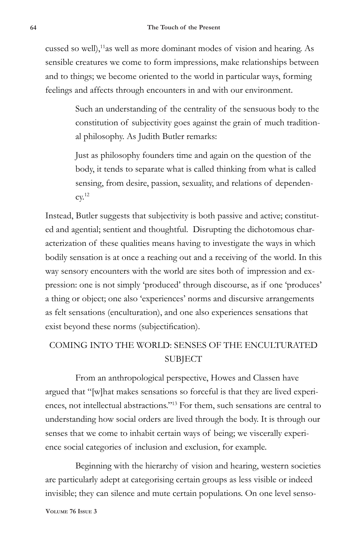cussed so well),<sup>11</sup>as well as more dominant modes of vision and hearing. As sensible creatures we come to form impressions, make relationships between and to things; we become oriented to the world in particular ways, forming feelings and affects through encounters in and with our environment.

> Such an understanding of the centrality of the sensuous body to the constitution of subjectivity goes against the grain of much traditional philosophy. As Judith Butler remarks:

Just as philosophy founders time and again on the question of the body, it tends to separate what is called thinking from what is called sensing, from desire, passion, sexuality, and relations of dependen- $\text{cv.}^{12}$ 

Instead, Butler suggests that subjectivity is both passive and active; constituted and agential; sentient and thoughtful. Disrupting the dichotomous characterization of these qualities means having to investigate the ways in which bodily sensation is at once a reaching out and a receiving of the world. In this way sensory encounters with the world are sites both of impression and expression: one is not simply 'produced' through discourse, as if one 'produces' a thing or object; one also 'experiences' norms and discursive arrangements as felt sensations (enculturation), and one also experiences sensations that exist beyond these norms (subjectification).

## COMING INTO THE WORLD: SENSES OF THE ENCULTURATED SUBJECT

From an anthropological perspective, Howes and Classen have argued that "[w]hat makes sensations so forceful is that they are lived experiences, not intellectual abstractions."13 For them, such sensations are central to understanding how social orders are lived through the body. It is through our senses that we come to inhabit certain ways of being; we viscerally experience social categories of inclusion and exclusion, for example.

Beginning with the hierarchy of vision and hearing, western societies are particularly adept at categorising certain groups as less visible or indeed invisible; they can silence and mute certain populations. On one level senso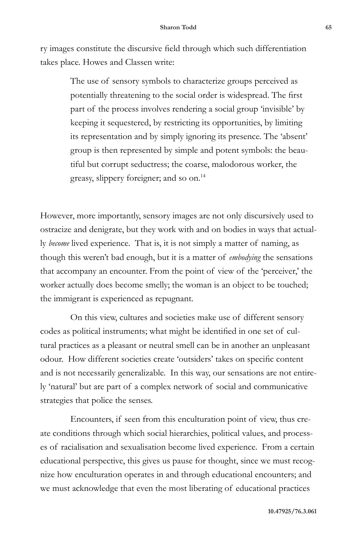ry images constitute the discursive field through which such differentiation takes place. Howes and Classen write:

> The use of sensory symbols to characterize groups perceived as potentially threatening to the social order is widespread. The first part of the process involves rendering a social group 'invisible' by keeping it sequestered, by restricting its opportunities, by limiting its representation and by simply ignoring its presence. The 'absent' group is then represented by simple and potent symbols: the beautiful but corrupt seductress; the coarse, malodorous worker, the greasy, slippery foreigner; and so on.14

However, more importantly, sensory images are not only discursively used to ostracize and denigrate, but they work with and on bodies in ways that actually *become* lived experience. That is, it is not simply a matter of naming, as though this weren't bad enough, but it is a matter of *embodying* the sensations that accompany an encounter. From the point of view of the 'perceiver,' the worker actually does become smelly; the woman is an object to be touched; the immigrant is experienced as repugnant.

On this view, cultures and societies make use of different sensory codes as political instruments; what might be identified in one set of cultural practices as a pleasant or neutral smell can be in another an unpleasant odour. How different societies create 'outsiders' takes on specific content and is not necessarily generalizable. In this way, our sensations are not entirely 'natural' but are part of a complex network of social and communicative strategies that police the senses.

Encounters, if seen from this enculturation point of view, thus create conditions through which social hierarchies, political values, and processes of racialisation and sexualisation become lived experience. From a certain educational perspective, this gives us pause for thought, since we must recognize how enculturation operates in and through educational encounters; and we must acknowledge that even the most liberating of educational practices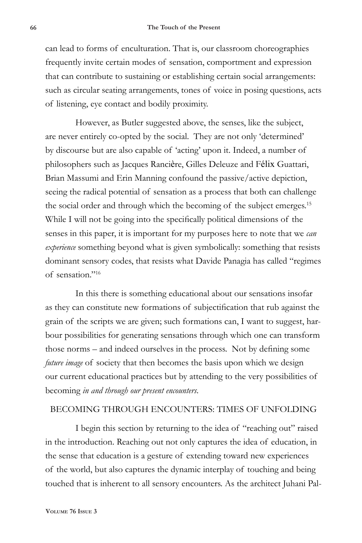can lead to forms of enculturation. That is, our classroom choreographies frequently invite certain modes of sensation, comportment and expression that can contribute to sustaining or establishing certain social arrangements: such as circular seating arrangements, tones of voice in posing questions, acts of listening, eye contact and bodily proximity.

However, as Butler suggested above, the senses, like the subject, are never entirely co-opted by the social. They are not only 'determined' by discourse but are also capable of 'acting' upon it. Indeed, a number of philosophers such as Jacques Rancière, Gilles Deleuze and Félix Guattari, Brian Massumi and Erin Manning confound the passive/active depiction, seeing the radical potential of sensation as a process that both can challenge the social order and through which the becoming of the subject emerges.<sup>15</sup> While I will not be going into the specifically political dimensions of the senses in this paper, it is important for my purposes here to note that we *can experience* something beyond what is given symbolically: something that resists dominant sensory codes, that resists what Davide Panagia has called "regimes of sensation."16

In this there is something educational about our sensations insofar as they can constitute new formations of subjectification that rub against the grain of the scripts we are given; such formations can, I want to suggest, harbour possibilities for generating sensations through which one can transform those norms – and indeed ourselves in the process. Not by defining some *future image* of society that then becomes the basis upon which we design our current educational practices but by attending to the very possibilities of becoming *in and through our present encounters*.

## BECOMING THROUGH ENCOUNTERS: TIMES OF UNFOLDING

I begin this section by returning to the idea of "reaching out" raised in the introduction. Reaching out not only captures the idea of education, in the sense that education is a gesture of extending toward new experiences of the world, but also captures the dynamic interplay of touching and being touched that is inherent to all sensory encounters. As the architect Juhani Pal-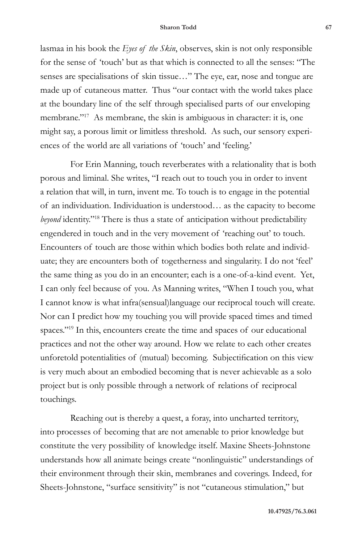lasmaa in his book the *Eyes of the Skin*, observes, skin is not only responsible for the sense of 'touch' but as that which is connected to all the senses: "The senses are specialisations of skin tissue…" The eye, ear, nose and tongue are made up of cutaneous matter. Thus "our contact with the world takes place at the boundary line of the self through specialised parts of our enveloping membrane."<sup>17</sup> As membrane, the skin is ambiguous in character: it is, one might say, a porous limit or limitless threshold. As such, our sensory experiences of the world are all variations of 'touch' and 'feeling.'

For Erin Manning, touch reverberates with a relationality that is both porous and liminal. She writes, "I reach out to touch you in order to invent a relation that will, in turn, invent me. To touch is to engage in the potential of an individuation. Individuation is understood… as the capacity to become *beyond* identity."18 There is thus a state of anticipation without predictability engendered in touch and in the very movement of 'reaching out' to touch. Encounters of touch are those within which bodies both relate and individuate; they are encounters both of togetherness and singularity. I do not 'feel' the same thing as you do in an encounter; each is a one-of-a-kind event. Yet, I can only feel because of you. As Manning writes, "When I touch you, what I cannot know is what infra(sensual)language our reciprocal touch will create. Nor can I predict how my touching you will provide spaced times and timed spaces."<sup>19</sup> In this, encounters create the time and spaces of our educational practices and not the other way around. How we relate to each other creates unforetold potentialities of (mutual) becoming. Subjectification on this view is very much about an embodied becoming that is never achievable as a solo project but is only possible through a network of relations of reciprocal touchings.

Reaching out is thereby a quest, a foray, into uncharted territory, into processes of becoming that are not amenable to prior knowledge but constitute the very possibility of knowledge itself. Maxine Sheets-Johnstone understands how all animate beings create "nonlinguistic" understandings of their environment through their skin, membranes and coverings. Indeed, for Sheets-Johnstone, "surface sensitivity" is not "cutaneous stimulation," but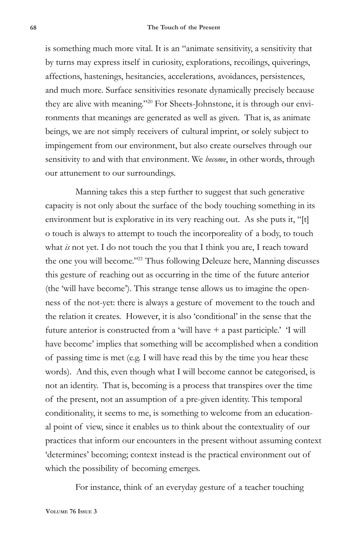is something much more vital. It is an "animate sensitivity, a sensitivity that by turns may express itself in curiosity, explorations, recoilings, quiverings, affections, hastenings, hesitancies, accelerations, avoidances, persistences, and much more. Surface sensitivities resonate dynamically precisely because they are alive with meaning."20 For Sheets-Johnstone, it is through our environments that meanings are generated as well as given. That is, as animate beings, we are not simply receivers of cultural imprint, or solely subject to impingement from our environment, but also create ourselves through our sensitivity to and with that environment. We *become*, in other words, through our attunement to our surroundings.

Manning takes this a step further to suggest that such generative capacity is not only about the surface of the body touching something in its environment but is explorative in its very reaching out. As she puts it, "[t] o touch is always to attempt to touch the incorporeality of a body, to touch what *is* not yet. I do not touch the you that I think you are, I reach toward the one you will become."21 Thus following Deleuze here, Manning discusses this gesture of reaching out as occurring in the time of the future anterior (the 'will have become'). This strange tense allows us to imagine the openness of the not-yet: there is always a gesture of movement to the touch and the relation it creates. However, it is also 'conditional' in the sense that the future anterior is constructed from a 'will have + a past participle.' 'I will have become' implies that something will be accomplished when a condition of passing time is met (e.g. I will have read this by the time you hear these words). And this, even though what I will become cannot be categorised, is not an identity. That is, becoming is a process that transpires over the time of the present, not an assumption of a pre-given identity. This temporal conditionality, it seems to me, is something to welcome from an educational point of view, since it enables us to think about the contextuality of our practices that inform our encounters in the present without assuming context 'determines' becoming; context instead is the practical environment out of which the possibility of becoming emerges.

For instance, think of an everyday gesture of a teacher touching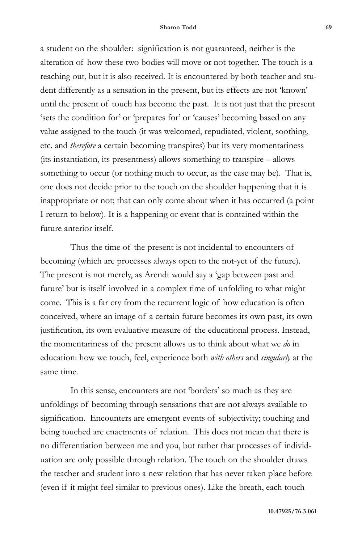a student on the shoulder: signification is not guaranteed, neither is the alteration of how these two bodies will move or not together. The touch is a reaching out, but it is also received. It is encountered by both teacher and student differently as a sensation in the present, but its effects are not 'known' until the present of touch has become the past. It is not just that the present 'sets the condition for' or 'prepares for' or 'causes' becoming based on any value assigned to the touch (it was welcomed, repudiated, violent, soothing, etc. and *therefore* a certain becoming transpires) but its very momentariness (its instantiation, its presentness) allows something to transpire – allows something to occur (or nothing much to occur, as the case may be). That is, one does not decide prior to the touch on the shoulder happening that it is inappropriate or not; that can only come about when it has occurred (a point I return to below). It is a happening or event that is contained within the future anterior itself.

Thus the time of the present is not incidental to encounters of becoming (which are processes always open to the not-yet of the future). The present is not merely, as Arendt would say a 'gap between past and future' but is itself involved in a complex time of unfolding to what might come. This is a far cry from the recurrent logic of how education is often conceived, where an image of a certain future becomes its own past, its own justification, its own evaluative measure of the educational process. Instead, the momentariness of the present allows us to think about what we *do* in education: how we touch, feel, experience both *with others* and *singularly* at the same time.

In this sense, encounters are not 'borders' so much as they are unfoldings of becoming through sensations that are not always available to signification. Encounters are emergent events of subjectivity; touching and being touched are enactments of relation. This does not mean that there is no differentiation between me and you, but rather that processes of individuation are only possible through relation. The touch on the shoulder draws the teacher and student into a new relation that has never taken place before (even if it might feel similar to previous ones). Like the breath, each touch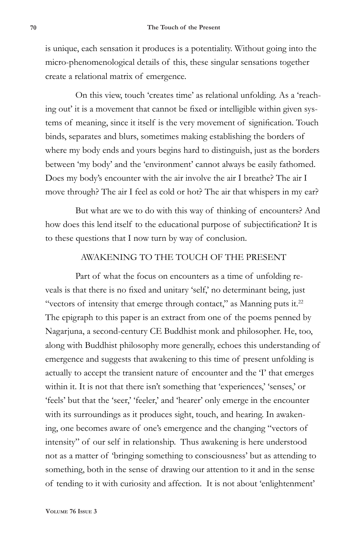is unique, each sensation it produces is a potentiality. Without going into the micro-phenomenological details of this, these singular sensations together create a relational matrix of emergence.

On this view, touch 'creates time' as relational unfolding. As a 'reaching out' it is a movement that cannot be fixed or intelligible within given systems of meaning, since it itself is the very movement of signification. Touch binds, separates and blurs, sometimes making establishing the borders of where my body ends and yours begins hard to distinguish, just as the borders between 'my body' and the 'environment' cannot always be easily fathomed. Does my body's encounter with the air involve the air I breathe? The air I move through? The air I feel as cold or hot? The air that whispers in my ear?

But what are we to do with this way of thinking of encounters? And how does this lend itself to the educational purpose of subjectification? It is to these questions that I now turn by way of conclusion.

## AWAKENING TO THE TOUCH OF THE PRESENT

Part of what the focus on encounters as a time of unfolding reveals is that there is no fixed and unitary 'self,' no determinant being, just "vectors of intensity that emerge through contact," as Manning puts it. $^{22}$ The epigraph to this paper is an extract from one of the poems penned by Nagarjuna, a second-century CE Buddhist monk and philosopher. He, too, along with Buddhist philosophy more generally, echoes this understanding of emergence and suggests that awakening to this time of present unfolding is actually to accept the transient nature of encounter and the 'I' that emerges within it. It is not that there isn't something that 'experiences,' 'senses,' or 'feels' but that the 'seer,' 'feeler,' and 'hearer' only emerge in the encounter with its surroundings as it produces sight, touch, and hearing. In awakening, one becomes aware of one's emergence and the changing "vectors of intensity" of our self in relationship. Thus awakening is here understood not as a matter of 'bringing something to consciousness' but as attending to something, both in the sense of drawing our attention to it and in the sense of tending to it with curiosity and affection. It is not about 'enlightenment'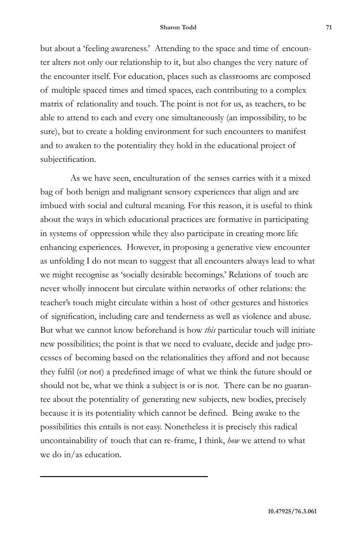but about a 'feeling awareness.' Attending to the space and time of encounter alters not only our relationship to it, but also changes the very nature of the encounter itself. For education, places such as classrooms are composed of multiple spaced times and timed spaces, each contributing to a complex matrix of relationality and touch. The point is not for us, as teachers, to be able to attend to each and every one simultaneously (an impossibility, to be sure), but to create a holding environment for such encounters to manifest and to awaken to the potentiality they hold in the educational project of subjectification.

As we have seen, enculturation of the senses carries with it a mixed bag of both benign and malignant sensory experiences that align and are imbued with social and cultural meaning. For this reason, it is useful to think about the ways in which educational practices are formative in participating in systems of oppression while they also participate in creating more life enhancing experiences. However, in proposing a generative view encounter as unfolding I do not mean to suggest that all encounters always lead to what we might recognise as 'socially desirable becomings.' Relations of touch are never wholly innocent but circulate within networks of other relations: the teacher's touch might circulate within a host of other gestures and histories of signification, including care and tenderness as well as violence and abuse. But what we cannot know beforehand is how *this* particular touch will initiate new possibilities; the point is that we need to evaluate, decide and judge processes of becoming based on the relationalities they afford and not because they fulfil (or not) a predefined image of what we think the future should or should not be, what we think a subject is or is not. There can be no guarantee about the potentiality of generating new subjects, new bodies, precisely because it is its potentiality which cannot be defined. Being awake to the possibilities this entails is not easy. Nonetheless it is precisely this radical uncontainability of touch that can re-frame, I think, *how* we attend to what we do in/as education.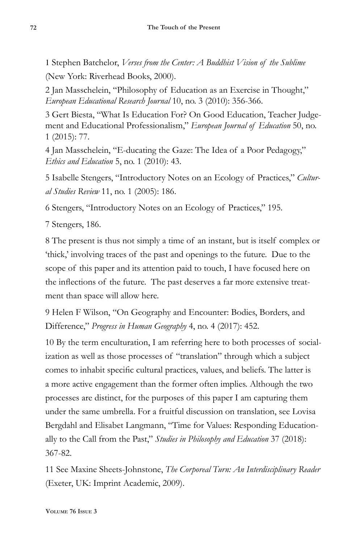1 Stephen Batchelor, *Verses from the Center: A Buddhist Vision of the Sublime* (New York: Riverhead Books, 2000).

2 Jan Masschelein, "Philosophy of Education as an Exercise in Thought," *European Educational Research Journal* 10, no. 3 (2010): 356-366.

3 Gert Biesta, "What Is Education For? On Good Education, Teacher Judgement and Educational Professionalism," *European Journal of Education* 50, no. 1 (2015): 77.

4 Jan Masschelein, "E-ducating the Gaze: The Idea of a Poor Pedagogy," *Ethics and Education* 5, no. 1 (2010): 43.

5 Isabelle Stengers, "Introductory Notes on an Ecology of Practices," *Cultural Studies Review* 11, no. 1 (2005): 186.

6 Stengers, "Introductory Notes on an Ecology of Practices," 195.

7 Stengers, 186.

8 The present is thus not simply a time of an instant, but is itself complex or 'thick,' involving traces of the past and openings to the future. Due to the scope of this paper and its attention paid to touch, I have focused here on the inflections of the future. The past deserves a far more extensive treatment than space will allow here.

9 Helen F Wilson, "On Geography and Encounter: Bodies, Borders, and Difference," *Progress in Human Geography* 4, no. 4 (2017): 452.

10 By the term enculturation, I am referring here to both processes of socialization as well as those processes of "translation" through which a subject comes to inhabit specific cultural practices, values, and beliefs. The latter is a more active engagement than the former often implies. Although the two processes are distinct, for the purposes of this paper I am capturing them under the same umbrella. For a fruitful discussion on translation, see Lovisa Bergdahl and Elisabet Langmann, "Time for Values: Responding Educationally to the Call from the Past," *Studies in Philosophy and Education* 37 (2018): 367-82.

11 See Maxine Sheets-Johnstone, *The Corporeal Turn: An Interdisciplinary Reader* (Exeter, UK: Imprint Academic, 2009).